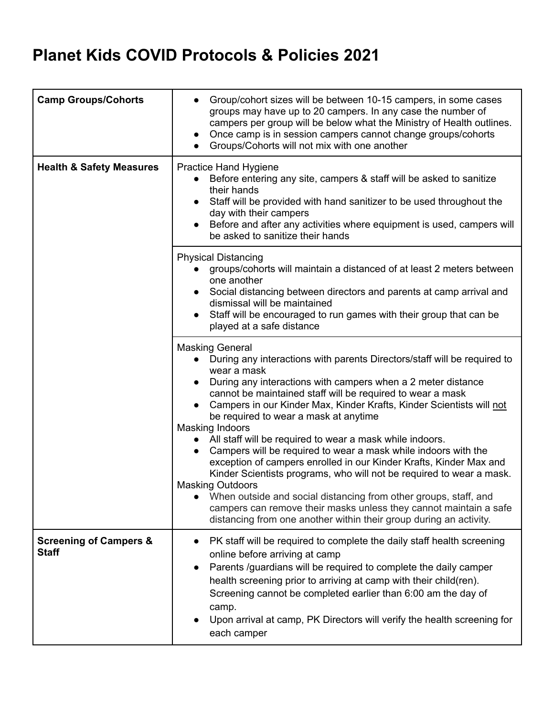## **Planet Kids COVID Protocols & Policies 2021**

| <b>Camp Groups/Cohorts</b>                        | Group/cohort sizes will be between 10-15 campers, in some cases<br>groups may have up to 20 campers. In any case the number of<br>campers per group will be below what the Ministry of Health outlines.<br>Once camp is in session campers cannot change groups/cohorts<br>Groups/Cohorts will not mix with one another                                                                                                                                                                                                                                                                                                                                                                                                                                                                                                                                                                                            |
|---------------------------------------------------|--------------------------------------------------------------------------------------------------------------------------------------------------------------------------------------------------------------------------------------------------------------------------------------------------------------------------------------------------------------------------------------------------------------------------------------------------------------------------------------------------------------------------------------------------------------------------------------------------------------------------------------------------------------------------------------------------------------------------------------------------------------------------------------------------------------------------------------------------------------------------------------------------------------------|
| <b>Health &amp; Safety Measures</b>               | <b>Practice Hand Hygiene</b><br>Before entering any site, campers & staff will be asked to sanitize<br>their hands<br>Staff will be provided with hand sanitizer to be used throughout the<br>$\bullet$<br>day with their campers<br>Before and after any activities where equipment is used, campers will<br>be asked to sanitize their hands                                                                                                                                                                                                                                                                                                                                                                                                                                                                                                                                                                     |
|                                                   | <b>Physical Distancing</b><br>groups/cohorts will maintain a distanced of at least 2 meters between<br>one another<br>Social distancing between directors and parents at camp arrival and<br>dismissal will be maintained<br>Staff will be encouraged to run games with their group that can be<br>played at a safe distance                                                                                                                                                                                                                                                                                                                                                                                                                                                                                                                                                                                       |
|                                                   | <b>Masking General</b><br>• During any interactions with parents Directors/staff will be required to<br>wear a mask<br>During any interactions with campers when a 2 meter distance<br>cannot be maintained staff will be required to wear a mask<br>Campers in our Kinder Max, Kinder Krafts, Kinder Scientists will not<br>be required to wear a mask at anytime<br><b>Masking Indoors</b><br>All staff will be required to wear a mask while indoors.<br>Campers will be required to wear a mask while indoors with the<br>exception of campers enrolled in our Kinder Krafts, Kinder Max and<br>Kinder Scientists programs, who will not be required to wear a mask.<br><b>Masking Outdoors</b><br>When outside and social distancing from other groups, staff, and<br>campers can remove their masks unless they cannot maintain a safe<br>distancing from one another within their group during an activity. |
| <b>Screening of Campers &amp;</b><br><b>Staff</b> | PK staff will be required to complete the daily staff health screening<br>online before arriving at camp<br>Parents /guardians will be required to complete the daily camper<br>$\bullet$<br>health screening prior to arriving at camp with their child(ren).<br>Screening cannot be completed earlier than 6:00 am the day of<br>camp.<br>Upon arrival at camp, PK Directors will verify the health screening for<br>each camper                                                                                                                                                                                                                                                                                                                                                                                                                                                                                 |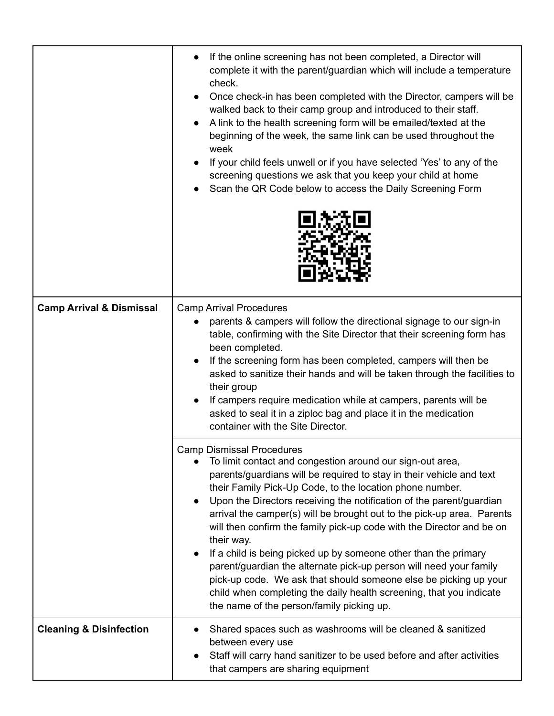|                                     | If the online screening has not been completed, a Director will<br>complete it with the parent/guardian which will include a temperature<br>check.<br>Once check-in has been completed with the Director, campers will be<br>walked back to their camp group and introduced to their staff.<br>A link to the health screening form will be emailed/texted at the<br>beginning of the week, the same link can be used throughout the<br>week<br>If your child feels unwell or if you have selected 'Yes' to any of the<br>screening questions we ask that you keep your child at home<br>Scan the QR Code below to access the Daily Screening Form                                                                                                                                                           |
|-------------------------------------|-------------------------------------------------------------------------------------------------------------------------------------------------------------------------------------------------------------------------------------------------------------------------------------------------------------------------------------------------------------------------------------------------------------------------------------------------------------------------------------------------------------------------------------------------------------------------------------------------------------------------------------------------------------------------------------------------------------------------------------------------------------------------------------------------------------|
| <b>Camp Arrival &amp; Dismissal</b> | <b>Camp Arrival Procedures</b><br>parents & campers will follow the directional signage to our sign-in<br>table, confirming with the Site Director that their screening form has<br>been completed.<br>If the screening form has been completed, campers will then be<br>asked to sanitize their hands and will be taken through the facilities to<br>their group<br>If campers require medication while at campers, parents will be<br>asked to seal it in a ziploc bag and place it in the medication<br>container with the Site Director.                                                                                                                                                                                                                                                                |
|                                     | <b>Camp Dismissal Procedures</b><br>To limit contact and congestion around our sign-out area,<br>parents/guardians will be required to stay in their vehicle and text<br>their Family Pick-Up Code, to the location phone number.<br>Upon the Directors receiving the notification of the parent/guardian<br>arrival the camper(s) will be brought out to the pick-up area. Parents<br>will then confirm the family pick-up code with the Director and be on<br>their way.<br>If a child is being picked up by someone other than the primary<br>parent/guardian the alternate pick-up person will need your family<br>pick-up code. We ask that should someone else be picking up your<br>child when completing the daily health screening, that you indicate<br>the name of the person/family picking up. |
| <b>Cleaning &amp; Disinfection</b>  | Shared spaces such as washrooms will be cleaned & sanitized<br>between every use<br>Staff will carry hand sanitizer to be used before and after activities<br>that campers are sharing equipment                                                                                                                                                                                                                                                                                                                                                                                                                                                                                                                                                                                                            |